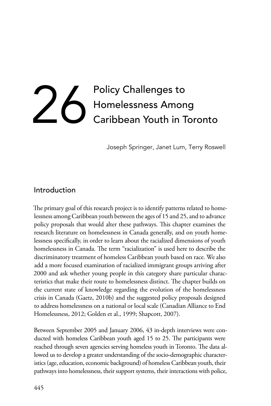# Policy Challenges to<br>Homelessness Amon<br>Caribbean Youth in T Homelessness Among Caribbean Youth in Toronto

Joseph Springer, Janet Lum, Terry Roswell

## Introduction

The primary goal of this research project is to identify patterns related to homelessness among Caribbean youth between the ages of 15 and 25, and to advance policy proposals that would alter these pathways. This chapter examines the research literature on homelessness in Canada generally, and on youth homelessness specifically, in order to learn about the racialized dimensions of youth homelessness in Canada. The term "racialization" is used here to describe the discriminatory treatment of homeless Caribbean youth based on race. We also add a more focused examination of racialized immigrant groups arriving after 2000 and ask whether young people in this category share particular characteristics that make their route to homelessness distinct. The chapter builds on the current state of knowledge regarding the evolution of the homelessness crisis in Canada (Gaetz, 2010b) and the suggested policy proposals designed to address homelessness on a national or local scale (Canadian Alliance to End Homelessness, 2012; Golden et al., 1999; Shapcott, 2007).

Between September 2005 and January 2006, 43 in-depth interviews were conducted with homeless Caribbean youth aged 15 to 25. The participants were reached through seven agencies serving homeless youth in Toronto. The data allowed us to develop a greater understanding of the socio-demographic characteristics (age, education, economic background) of homeless Caribbean youth, their pathways into homelessness, their support systems, their interactions with police,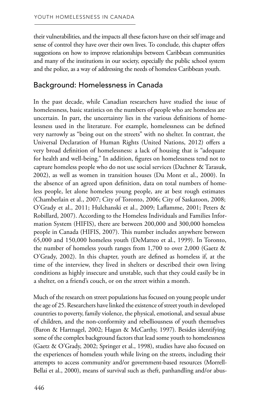their vulnerabilities, and the impacts all these factors have on their self image and sense of control they have over their own lives. To conclude, this chapter offers suggestions on how to improve relationships between Caribbean communities and many of the institutions in our society, especially the public school system and the police, as a way of addressing the needs of homeless Caribbean youth.

## Background: Homelessness in Canada

In the past decade, while Canadian researchers have studied the issue of homelessness, basic statistics on the numbers of people who are homeless are uncertain. In part, the uncertainty lies in the various definitions of homelessness used in the literature. For example, homelessness can be defined very narrowly as "being out on the streets" with no shelter. In contrast, the Universal Declaration of Human Rights (United Nations, 2012) offers a very broad definition of homelessness: a lack of housing that is "adequate for health and well-being." In addition, figures on homelessness tend not to capture homeless people who do not use social services (Dachner & Tarasuk, 2002), as well as women in transition houses (Du Mont et al., 2000). In the absence of an agreed upon definition, data on total numbers of homeless people, let alone homeless young people, are at best rough estimates (Chamberlain et al., 2007; City of Toronto, 2006; City of Saskatoon, 2008; O'Grady et al., 2011; Hulchanski et al., 2009; Laflamme, 2001; Peters & Robillard, 2007). According to the Homeless Individuals and Families Information System (HIFIS), there are between 200,000 and 300,000 homeless people in Canada (HIFIS, 2007). This number includes anywhere between 65,000 and 150,000 homeless youth (DeMatteo et al., 1999). In Toronto, the number of homeless youth ranges from 1,700 to over 2,000 (Gaetz & O'Grady, 2002). In this chapter, youth are defined as homeless if, at the time of the interview, they lived in shelters or described their own living conditions as highly insecure and unstable, such that they could easily be in a shelter, on a friend's couch, or on the street within a month.

Much of the research on street populations has focused on young people under the age of 25. Researchers have linked the existence of street youth in developed countries to poverty, family violence, the physical, emotional, and sexual abuse of children, and the non-conformity and rebelliousness of youth themselves (Baron & Hartnagel, 2002; Hagan & McCarthy, 1997). Besides identifying some of the complex background factors that lead some youth to homelessness (Gaetz & O'Grady, 2002; Springer et al., 1998), studies have also focused on the experiences of homeless youth while living on the streets, including their attempts to access community and/or government-based resources (Morrell-Bellai et al., 2000), means of survival such as theft, panhandling and/or abus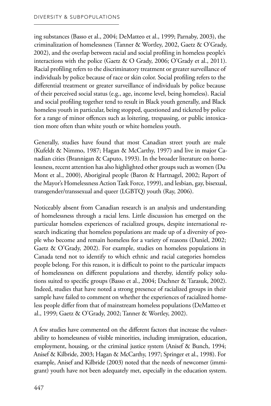ing substances (Basso et al., 2004; DeMatteo et al., 1999; Parnaby, 2003), the criminalization of homelessness (Tanner & Wortley, 2002, Gaetz & O'Grady, 2002), and the overlap between racial and social profiling in homeless people's interactions with the police (Gaetz & O Grady, 2006; O'Grady et al., 2011). Racial profiling refers to the discriminatory treatment or greater surveillance of individuals by police because of race or skin color. Social profiling refers to the differential treatment or greater surveillance of individuals by police because of their perceived social status (e.g., age, income level, being homeless). Racial and social profiling together tend to result in Black youth generally, and Black homeless youth in particular, being stopped, questioned and ticketed by police for a range of minor offences such as loitering, trespassing, or public intoxication more often than white youth or white homeless youth.

Generally, studies have found that most Canadian street youth are male (Kufeldt & Nimmo, 1987; Hagan & McCarthy, 1997) and live in major Canadian cities (Brannigan & Caputo, 1993). In the broader literature on homelessness, recent attention has also highlighted other groups such as women (Du Mont et al., 2000), Aboriginal people (Baron & Hartnagel, 2002; Report of the Mayor's Homelessness Action Task Force, 1999), and lesbian, gay, bisexual, transgender/transsexual and queer (LGBTQ) youth (Ray, 2006).

Noticeably absent from Canadian research is an analysis and understanding of homelessness through a racial lens. Little discussion has emerged on the particular homeless experiences of racialized groups, despite international research indicating that homeless populations are made up of a diversity of people who become and remain homeless for a variety of reasons (Daniel, 2002; Gaetz & O'Grady, 2002). For example, studies on homeless populations in Canada tend not to identify to which ethnic and racial categories homeless people belong. For this reason, it is difficult to point to the particular impacts of homelessness on different populations and thereby, identify policy solutions suited to specific groups (Basso et al., 2004; Dachner & Tarasuk, 2002). Indeed, studies that have noted a strong presence of racialized groups in their sample have failed to comment on whether the experiences of racialized homeless people differ from that of mainstream homeless populations (DeMatteo et al., 1999; Gaetz & O'Grady, 2002; Tanner & Wortley, 2002).

A few studies have commented on the different factors that increase the vulnerability to homelessness of visible minorities, including immigration, education, employment, housing, or the criminal justice system (Anisef & Bunch, 1994; Anisef & Kilbride, 2003; Hagan & McCarthy, 1997; Springer et al., 1998). For example, Anisef and Kilbride (2003) noted that the needs of newcomer (immigrant) youth have not been adequately met, especially in the education system.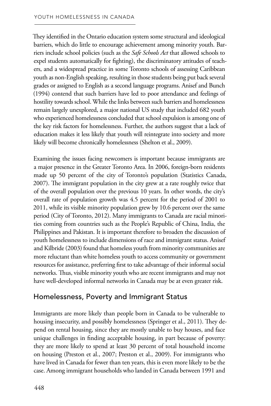They identified in the Ontario education system some structural and ideological barriers, which do little to encourage achievement among minority youth. Barriers include school policies (such as the *Safe Schools Act* that allowed schools to expel students automatically for fighting), the discriminatory attitudes of teachers, and a widespread practice in some Toronto schools of assessing Caribbean youth as non-English speaking, resulting in those students being put back several grades or assigned to English as a second language programs. Anisef and Bunch (1994) contend that such barriers have led to poor attendance and feelings of hostility towards school. While the links between such barriers and homelessness remain largely unexplored, a major national US study that included 682 youth who experienced homelessness concluded that school expulsion is among one of the key risk factors for homelessness. Further, the authors suggest that a lack of education makes it less likely that youth will reintegrate into society and more likely will become chronically homelessness (Shelton et al., 2009).

Examining the issues facing newcomers is important because immigrants are a major presence in the Greater Toronto Area. In 2006, foreign-born residents made up 50 percent of the city of Toronto's population (Statistics Canada, 2007). The immigrant population in the city grew at a rate roughly twice that of the overall population over the previous 10 years. In other words, the city's overall rate of population growth was 4.5 percent for the period of 2001 to 2011, while its visible minority population grew by 10.6 percent over the same period (City of Toronto, 2012). Many immigrants to Canada are racial minorities coming from countries such as the People's Republic of China, India, the Philippines and Pakistan. It is important therefore to broaden the discussion of youth homelessness to include dimensions of race and immigrant status. Anisef and Kilbride (2003) found that homeless youth from minority communities are more reluctant than white homeless youth to access community or government resources for assistance, preferring first to take advantage of their informal social networks. Thus, visible minority youth who are recent immigrants and may not have well-developed informal networks in Canada may be at even greater risk.

## Homelessness, Poverty and Immigrant Status

Immigrants are more likely than people born in Canada to be vulnerable to housing insecurity, and possibly homelessness (Springer et al., 2011). They depend on rental housing, since they are mostly unable to buy houses, and face unique challenges in finding acceptable housing, in part because of poverty: they are more likely to spend at least 30 percent of total household income on housing (Preston et al., 2007; Preston et al., 2009). For immigrants who have lived in Canada for fewer than ten years, this is even more likely to be the case. Among immigrant households who landed in Canada between 1991 and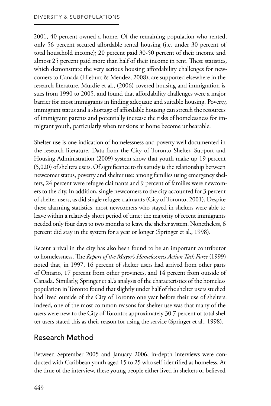2001, 40 percent owned a home. Of the remaining population who rented, only 56 percent secured affordable rental housing (i.e. under 30 percent of total household income); 20 percent paid 30-50 percent of their income and almost 25 percent paid more than half of their income in rent. These statistics, which demonstrate the very serious housing affordability challenges for newcomers to Canada (Hieburt & Mendez, 2008), are supported elsewhere in the research literature. Murdie et al., (2006) covered housing and immigration issues from 1990 to 2005, and found that affordability challenges were a major barrier for most immigrants in finding adequate and suitable housing. Poverty, immigrant status and a shortage of affordable housing can stretch the resources of immigrant parents and potentially increase the risks of homelessness for immigrant youth, particularly when tensions at home become unbearable.

Shelter use is one indication of homelessness and poverty well documented in the research literature. Data from the City of Toronto Shelter, Support and Housing Administration (2009) system show that youth make up 19 percent (5,020) of shelters users. Of significance to this study is the relationship between newcomer status, poverty and shelter use: among families using emergency shelters, 24 percent were refugee claimants and 9 percent of families were newcomers to the city. In addition, single newcomers to the city accounted for 3 percent of shelter users, as did single refugee claimants (City of Toronto, 2001). Despite these alarming statistics, most newcomers who stayed in shelters were able to leave within a relatively short period of time: the majority of recent immigrants needed only four days to two months to leave the shelter system. Nonetheless, 6 percent did stay in the system for a year or longer (Springer et al., 1998).

Recent arrival in the city has also been found to be an important contributor to homelessness. The *Report of the Mayor's Homelessness Action Task Force* (1999) noted that, in 1997, 16 percent of shelter users had arrived from other parts of Ontario, 17 percent from other provinces, and 14 percent from outside of Canada. Similarly, Springer et al.'s analysis of the characteristics of the homeless population in Toronto found that slightly under half of the shelter users studied had lived outside of the City of Toronto one year before their use of shelters. Indeed, one of the most common reasons for shelter use was that many of the users were new to the City of Toronto: approximately 30.7 percent of total shelter users stated this as their reason for using the service (Springer et al., 1998).

# Research Method

Between September 2005 and January 2006, in-depth interviews were conducted with Caribbean youth aged 15 to 25 who self-identified as homeless. At the time of the interview, these young people either lived in shelters or believed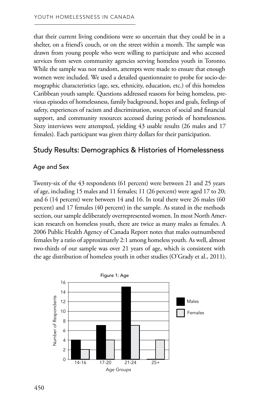that their current living conditions were so uncertain that they could be in a shelter, on a friend's couch, or on the street within a month. The sample was drawn from young people who were willing to participate and who accessed services from seven community agencies serving homeless youth in Toronto. While the sample was not random, attempts were made to ensure that enough women were included. We used a detailed questionnaire to probe for socio-demographic characteristics (age, sex, ethnicity, education, etc.) of this homeless Caribbean youth sample. Questions addressed reasons for being homeless, previous episodes of homelessness, family background, hopes and goals, feelings of safety, experiences of racism and discrimination, sources of social and financial support, and community resources accessed during periods of homelessness. Sixty interviews were attempted, yielding 43 usable results (26 males and 17 females). Each participant was given thirty dollars for their participation.

## Study Results: Demographics & Histories of Homelessness

#### Age and Sex

Twenty-six of the 43 respondents (61 percent) were between 21 and 25 years of age, including 15 males and 11 females; 11 (26 percent) were aged 17 to 20; and 6 (14 percent) were between 14 and 16. In total there were 26 males (60 percent) and 17 females (40 percent) in the sample. As stated in the methods section, our sample deliberately overrepresented women. In most North American research on homeless youth, there are twice as many males as females. A 2006 Public Health Agency of Canada Report notes that males outnumbered females by a ratio of approximately 2:1 among homeless youth. As well, almost two-thirds of our sample was over 21 years of age, which is consistent with the age distribution of homeless youth in other studies (O'Grady et al., 2011).

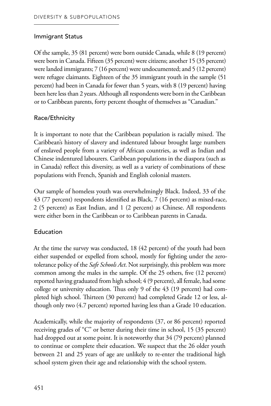#### Immigrant Status

Of the sample, 35 (81 percent) were born outside Canada, while 8 (19 percent) were born in Canada. Fifteen (35 percent) were citizens; another 15 (35 percent) were landed immigrants; 7 (16 percent) were undocumented; and 5 (12 percent) were refugee claimants. Eighteen of the 35 immigrant youth in the sample (51 percent) had been in Canada for fewer than 5 years, with 8 (19 percent) having been here less than 2 years. Although all respondents were born in the Caribbean or to Caribbean parents, forty percent thought of themselves as "Canadian."

## Race/Ethnicity

It is important to note that the Caribbean population is racially mixed. The Caribbean's history of slavery and indentured labour brought large numbers of enslaved people from a variety of African countries, as well as Indian and Chinese indentured labourers. Caribbean populations in the diaspora (such as in Canada) reflect this diversity, as well as a variety of combinations of these populations with French, Spanish and English colonial masters.

Our sample of homeless youth was overwhelmingly Black. Indeed, 33 of the 43 (77 percent) respondents identified as Black, 7 (16 percent) as mixed-race, 2 (5 percent) as East Indian, and 1 (2 percent) as Chinese. All respondents were either born in the Caribbean or to Caribbean parents in Canada.

## Education

At the time the survey was conducted, 18 (42 percent) of the youth had been either suspended or expelled from school, mostly for fighting under the zerotolerance policy of the *Safe Schools Act*. Not surprisingly, this problem was more common among the males in the sample. Of the 25 others, five (12 percent) reported having graduated from high school; 4 (9 percent), all female, had some college or university education. Thus only 9 of the 43 (19 percent) had completed high school. Thirteen (30 percent) had completed Grade 12 or less, although only two (4.7 percent) reported having less than a Grade 10 education.

Academically, while the majority of respondents (37, or 86 percent) reported receiving grades of "C" or better during their time in school, 15 (35 percent) had dropped out at some point. It is noteworthy that 34 (79 percent) planned to continue or complete their education. We suspect that the 26 older youth between 21 and 25 years of age are unlikely to re-enter the traditional high school system given their age and relationship with the school system.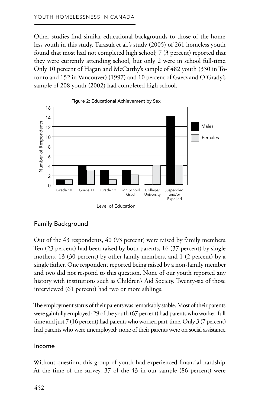Other studies find similar educational backgrounds to those of the homeless youth in this study. Tarasuk et al.'s study (2005) of 261 homeless youth found that most had not completed high school; 7 (3 percent) reported that they were currently attending school, but only 2 were in school full-time. Only 10 percent of Hagan and McCarthy's sample of 482 youth (330 in Toronto and 152 in Vancouver) (1997) and 10 percent of Gaetz and O'Grady's sample of 208 youth (2002) had completed high school.



## Family Background

Out of the 43 respondents, 40 (93 percent) were raised by family members. Ten (23 percent) had been raised by both parents, 16 (37 percent) by single mothers, 13 (30 percent) by other family members, and 1 (2 percent) by a single father. One respondent reported being raised by a non-family member and two did not respond to this question. None of our youth reported any history with institutions such as Children's Aid Society. Twenty-six of those interviewed (61 percent) had two or more siblings.

The employment status of their parents was remarkably stable. Most of their parents were gainfully employed: 29 of the youth (67 percent) had parents who worked full time and just 7 (16 percent) had parents who worked part-time. Only 3 (7 percent) had parents who were unemployed; none of their parents were on social assistance.

#### Income

Without question, this group of youth had experienced financial hardship. At the time of the survey, 37 of the 43 in our sample (86 percent) were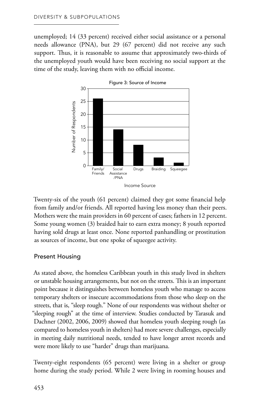unemployed; 14 (33 percent) received either social assistance or a personal needs allowance (PNA), but 29 (67 percent) did not receive any such support. Thus, it is reasonable to assume that approximately two-thirds of the unemployed youth would have been receiving no social support at the time of the study, leaving them with no official income.



Twenty-six of the youth (61 percent) claimed they got some financial help from family and/or friends. All reported having less money than their peers. Mothers were the main providers in 60 percent of cases; fathers in 12 percent. Some young women (3) braided hair to earn extra money; 8 youth reported having sold drugs at least once. None reported panhandling or prostitution as sources of income, but one spoke of squeegee activity.

#### Present Housing

As stated above, the homeless Caribbean youth in this study lived in shelters or unstable housing arrangements, but not on the streets. This is an important point because it distinguishes between homeless youth who manage to access temporary shelters or insecure accommodations from those who sleep on the streets, that is, "sleep rough." None of our respondents was without shelter or "sleeping rough" at the time of interview. Studies conducted by Tarasuk and Dachner (2002, 2006, 2009) showed that homeless youth sleeping rough (as compared to homeless youth in shelters) had more severe challenges, especially in meeting daily nutritional needs, tended to have longer arrest records and were more likely to use "harder" drugs than marijuana.  $\begin{array}{ll}\n\frac{a}{2} & \frac{a}{2} & \frac{a}{2} & \frac{a}{2} & \frac{a}{2} & \frac{a}{2} & \frac{a}{2} & \frac{a}{2} & \frac{a}{2} & \frac{a}{2} & \frac{a}{2} & \frac{a}{2} & \frac{a}{2} & \frac{a}{2} & \frac{a}{2} & \frac{a}{2} & \frac{a}{2} & \frac{a}{2} & \frac{a}{2} & \frac{a}{2} & \frac{a}{2} & \frac{a}{2} & \frac{a}{2} & \frac{a}{2} & \frac{a}{2} & \frac{a}{2} & \frac{a$ 

Twenty-eight respondents (65 percent) were living in a shelter or group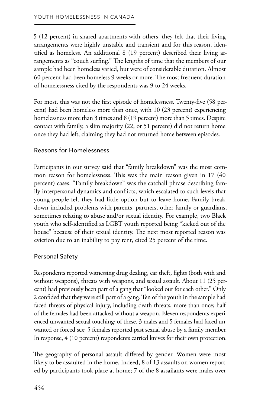5 (12 percent) in shared apartments with others, they felt that their living arrangements were highly unstable and transient and for this reason, identified as homeless. An additional 8 (19 percent) described their living arrangements as "couch surfing." The lengths of time that the members of our sample had been homeless varied, but were of considerable duration. Almost 60 percent had been homeless 9 weeks or more. The most frequent duration of homelessness cited by the respondents was 9 to 24 weeks.

For most, this was not the first episode of homelessness. Twenty-five (58 percent) had been homeless more than once, with 10 (23 percent) experiencing homelessness more than 3 times and 8 (19 percent) more than 5 times. Despite contact with family, a slim majority (22, or 51 percent) did not return home once they had left, claiming they had not returned home between episodes.

#### Reasons for Homelessness

Participants in our survey said that "family breakdown" was the most common reason for homelessness. This was the main reason given in 17 (40 percent) cases. "Family breakdown" was the catchall phrase describing family interpersonal dynamics and conflicts, which escalated to such levels that young people felt they had little option but to leave home. Family breakdown included problems with parents, partners, other family or guardians, sometimes relating to abuse and/or sexual identity. For example, two Black youth who self-identified as LGBT youth reported being "kicked out of the house" because of their sexual identity. The next most reported reason was eviction due to an inability to pay rent, cited 25 percent of the time.

#### Personal Safety

Respondents reported witnessing drug dealing, car theft, fights (both with and without weapons), threats with weapons, and sexual assault. About 11 (25 percent) had previously been part of a gang that "looked out for each other." Only 2 confided that they were still part of a gang. Ten of the youth in the sample had faced threats of physical injury, including death threats, more than once; half of the females had been attacked without a weapon. Eleven respondents experienced unwanted sexual touching; of these, 3 males and 5 females had faced unwanted or forced sex; 5 females reported past sexual abuse by a family member. In response, 4 (10 percent) respondents carried knives for their own protection.

The geography of personal assault differed by gender. Women were most likely to be assaulted in the home. Indeed, 8 of 13 assaults on women reported by participants took place at home; 7 of the 8 assailants were males over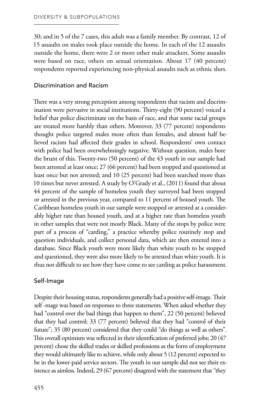30; and in 5 of the 7 cases, this adult was a family member. By contrast, 12 of 15 assaults on males took place outside the home. In each of the 12 assaults outside the home, there were 2 or more other male attackers. Some assaults were based on race, others on sexual orientation. About 17 (40 percent) respondents reported experiencing non-physical assaults such as ethnic slurs.

#### Discrimination and Racism

There was a very strong perception among respondents that racism and discrimination were pervasive in social institutions. Thirty-eight (90 percent) voiced a belief that police discriminate on the basis of race, and that some racial groups are treated more harshly than others. Moreover, 33 (77 percent) respondents thought police targeted males more often than females, and almost half believed racism had affected their grades in school. Respondents' own contact with police had been overwhelmingly negative. Without question, males bore the brunt of this. Twenty-two (50 percent) of the 43 youth in our sample had been arrested at least once; 27 (66 percent) had been stopped and questioned at least once but not arrested; and 10 (25 percent) had been searched more than 10 times but never arrested. A study by O'Grady et al., (2011) found that about 44 percent of the sample of homeless youth they surveyed had been stopped or arrested in the previous year, compared to 11 percent of housed youth. The Caribbean homeless youth in our sample were stopped or arrested at a considerably higher rate than housed youth, and at a higher rate than homeless youth in other samples that were not mostly Black. Many of the stops by police were part of a process of "carding," a practice whereby police routinely stop and question individuals, and collect personal data, which are then entered into a database. Since Black youth were more likely than white youth to be stopped and questioned, they were also more likely to be arrested than white youth. It is thus not difficult to see how they have come to see carding as police harassment.

#### Self-Image

Despite their housing status, respondents generally had a positive self-image. Their self -mage was based on responses to three statements. When asked whether they had "control over the bad things that happen to them", 22 (50 percent) believed that they had control; 33 (77 percent) believed that they had "control of their future"; 35 (80 percent) considered that they could "do things as well as others". This overall optimism was reflected in their identification of preferred jobs; 20 (47 percent) chose the skilled trades or skilled professions as the form of employment they would ultimately like to achieve, while only about 5 (12 percent) expected to be in the lower-paid service sectors. The youth in our sample did not see their existence as aimless. Indeed, 29 (67 percent) disagreed with the statement that "they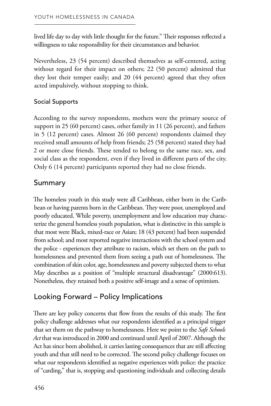lived life day to day with little thought for the future." Their responses reflected a willingness to take responsibility for their circumstances and behavior.

Nevertheless, 23 (54 percent) described themselves as self-centered, acting without regard for their impact on others; 22 (50 percent) admitted that they lost their temper easily; and 20 (44 percent) agreed that they often acted impulsively, without stopping to think.

## Social Supports

According to the survey respondents, mothers were the primary source of support in 25 (60 percent) cases, other family in 11 (26 percent), and fathers in 5 (12 percent) cases. Almost 26 (60 percent) respondents claimed they received small amounts of help from friends; 25 (58 percent) stated they had 2 or more close friends. These tended to belong to the same race, sex, and social class as the respondent, even if they lived in different parts of the city. Only 6 (14 percent) participants reported they had no close friends.

# Summary

The homeless youth in this study were all Caribbean, either born in the Caribbean or having parents born in the Caribbean. They were poor, unemployed and poorly educated. While poverty, unemployment and low education may characterize the general homeless youth population, what is distinctive in this sample is that most were Black, mixed-race or Asian; 18 (43 percent) had been suspended from school; and most reported negative interactions with the school system and the police - experiences they attribute to racism, which set them on the path to homelessness and prevented them from seeing a path out of homelessness. The combination of skin color, age, homelessness and poverty subjected them to what May describes as a position of "multiple structural disadvantage" (2000:613). Nonetheless, they retained both a positive self-image and a sense of optimism.

# Looking Forward – Policy Implications

There are key policy concerns that flow from the results of this study. The first policy challenge addresses what our respondents identified as a principal trigger that set them on the pathway to homelessness. Here we point to the *Safe Schools Act* that was introduced in 2000 and continued until April of 2007. Although the Act has since been abolished, it carries lasting consequences that are still affecting youth and that still need to be corrected. The second policy challenge focuses on what our respondents identified as negative experiences with police: the practice of "carding," that is, stopping and questioning individuals and collecting details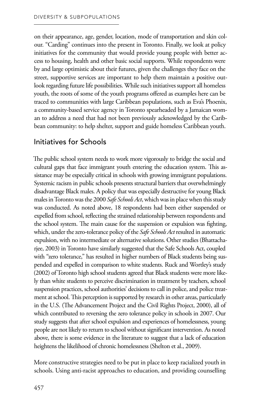on their appearance, age, gender, location, mode of transportation and skin colour. "Carding" continues into the present in Toronto. Finally, we look at policy initiatives for the community that would provide young people with better access to housing, health and other basic social supports. While respondents were by and large optimistic about their futures, given the challenges they face on the street, supportive services are important to help them maintain a positive outlook regarding future life possibilities. While such initiatives support all homeless youth, the roots of some of the youth programs offered as examples here can be traced to communities with large Caribbean populations, such as Eva's Phoenix, a community-based service agency in Toronto spearheaded by a Jamaican woman to address a need that had not been previously acknowledged by the Caribbean community: to help shelter, support and guide homeless Caribbean youth.

# Initiatives for Schools

The public school system needs to work more vigorously to bridge the social and cultural gaps that face immigrant youth entering the education system. This assistance may be especially critical in schools with growing immigrant populations. Systemic racism in public schools presents structural barriers that overwhelmingly disadvantage Black males. A policy that was especially destructive for young Black males in Toronto was the 2000 *Safe Schools Act*, which was in place when this study was conducted. As noted above, 18 respondents had been either suspended or expelled from school, reflecting the strained relationship between respondents and the school system. The main cause for the suspension or expulsion was fighting, which, under the zero-tolerance policy of the *Safe Schools Act* resulted in automatic expulsion, with no intermediate or alternative solutions. Other studies (Bhattacharjee, 2003) in Toronto have similarly suggested that the Safe Schools Act, coupled with "zero tolerance," has resulted in higher numbers of Black students being suspended and expelled in comparison to white students. Ruck and Wortley's study (2002) of Toronto high school students agreed that Black students were more likely than white students to perceive discrimination in treatment by teachers, school suspension practices, school authorities' decisions to call in police, and police treatment at school. This perception is supported by research in other areas, particularly in the U.S. (The Advancement Project and the Civil Rights Project, 2000), all of which contributed to reversing the zero tolerance policy in schools in 2007. Our study suggests that after school expulsion and experiences of homelessness, young people are not likely to return to school without significant intervention. As noted above, there is some evidence in the literature to suggest that a lack of education heightens the likelihood of chronic homelessness (Shelton et al., 2009).

More constructive strategies need to be put in place to keep racialized youth in schools. Using anti-racist approaches to education, and providing counselling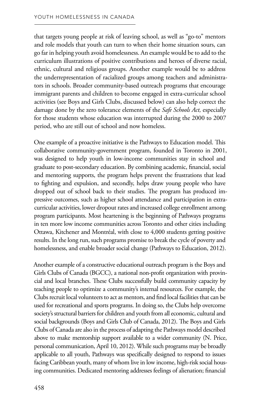that targets young people at risk of leaving school, as well as "go-to" mentors and role models that youth can turn to when their home situation sours, can go far in helping youth avoid homelessness. An example would be to add to the curriculum illustrations of positive contributions and heroes of diverse racial, ethnic, cultural and religious groups. Another example would be to address the underrepresentation of racialized groups among teachers and administrators in schools. Broader community-based outreach programs that encourage immigrant parents and children to become engaged in extra-curricular school activities (see Boys and Girls Clubs, discussed below) can also help correct the damage done by the zero tolerance elements of the *Safe Schools Act,* especially for those students whose education was interrupted during the 2000 to 2007 period, who are still out of school and now homeless.

One example of a proactive initiative is the Pathways to Education model. This collaborative community-government program, founded in Toronto in 2001, was designed to help youth in low-income communities stay in school and graduate to post-secondary education. By combining academic, financial, social and mentoring supports, the program helps prevent the frustrations that lead to fighting and expulsion, and secondly, helps draw young people who have dropped out of school back to their studies. The program has produced impressive outcomes, such as higher school attendance and participation in extracurricular activities, lower dropout rates and increased college enrollment among program participants. Most heartening is the beginning of Pathways programs in ten more low income communities across Toronto and other cities including Ottawa, Kitchener and Montréal, with close to 4,000 students getting positive results. In the long run, such programs promise to break the cycle of poverty and homelessness, and enable broader social change (Pathways to Education, 2012).

Another example of a constructive educational outreach program is the Boys and Girls Clubs of Canada (BGCC), a national non-profit organization with provincial and local branches. These Clubs successfully build community capacity by teaching people to optimize a community's internal resources. For example, the Clubs recruit local volunteers to act as mentors, and find local facilities that can be used for recreational and sports programs. In doing so, the Clubs help overcome society's structural barriers for children and youth from all economic, cultural and social backgrounds (Boys and Girls Club of Canada, 2012). The Boys and Girls Clubs of Canada are also in the process of adapting the Pathways model described above to make mentorship support available to a wider community (N. Price, personal communication, April 10, 2012). While such programs may be broadly applicable to all youth, Pathways was specifically designed to respond to issues facing Caribbean youth, many of whom live in low income, high-risk social housing communities. Dedicated mentoring addresses feelings of alienation; financial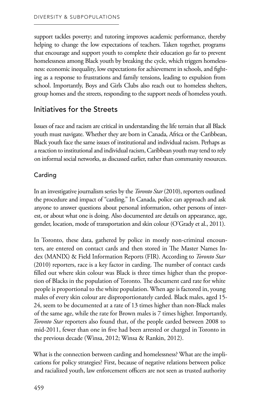support tackles poverty; and tutoring improves academic performance, thereby helping to change the low expectations of teachers. Taken together, programs that encourage and support youth to complete their education go far to prevent homelessness among Black youth by breaking the cycle, which triggers homelessness: economic inequality, low expectations for achievement in schools, and fighting as a response to frustrations and family tensions, leading to expulsion from school. Importantly, Boys and Girls Clubs also reach out to homeless shelters, group homes and the streets, responding to the support needs of homeless youth.

# Initiatives for the Streets

Issues of race and racism are critical in understanding the life terrain that all Black youth must navigate. Whether they are born in Canada, Africa or the Caribbean, Black youth face the same issues of institutional and individual racism. Perhaps as a reaction to institutional and individual racism, Caribbean youth may tend to rely on informal social networks, as discussed earlier, rather than community resources.

## Carding

In an investigative journalism series by the *Toronto Star* (2010), reporters outlined the procedure and impact of "carding." In Canada, police can approach and ask anyone to answer questions about personal information, other persons of interest, or about what one is doing. Also documented are details on appearance, age, gender, location, mode of transportation and skin colour (O'Grady et al., 2011).

In Toronto, these data, gathered by police in mostly non-criminal encounters, are entered on contact cards and then stored in The Master Names Index (MANIX) & Field Information Reports (FIR). According to *Toronto Star*  (2010) reporters, race is a key factor in carding. The number of contact cards filled out where skin colour was Black is three times higher than the proportion of Blacks in the population of Toronto. The document card rate for white people is proportional to the white population. When age is factored in, young males of every skin colour are disproportionately carded. Black males, aged 15 24, seem to be documented at a rate of 13 times higher than non-Black males of the same age, while the rate for Brown males is 7 times higher. Importantly, *Toronto Star* reporters also found that, of the people carded between 2008 to mid-2011, fewer than one in five had been arrested or charged in Toronto in the previous decade (Winsa, 2012; Winsa & Rankin, 2012).

What is the connection between carding and homelessness? What are the implications for policy strategies? First, because of negative relations between police and racialized youth, law enforcement officers are not seen as trusted authority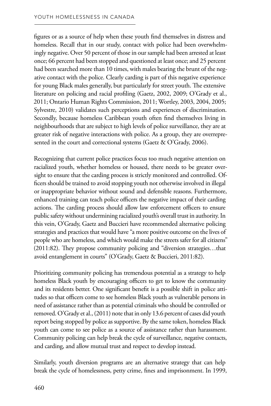figures or as a source of help when these youth find themselves in distress and homeless. Recall that in our study, contact with police had been overwhelmingly negative. Over 50 percent of those in our sample had been arrested at least once; 66 percent had been stopped and questioned at least once; and 25 percent had been searched more than 10 times, with males bearing the brunt of the negative contact with the police. Clearly carding is part of this negative experience for young Black males generally, but particularly for street youth. The extensive literature on policing and racial profiling (Gaetz, 2002, 2009; O'Grady et al., 2011; Ontario Human Rights Commission, 2011; Wortley, 2003, 2004, 2005; Sylvestre, 2010) validates such perceptions and experiences of discrimination. Secondly, because homeless Caribbean youth often find themselves living in neighbourhoods that are subject to high levels of police surveillance, they are at greater risk of negative interactions with police. As a group, they are overrepresented in the court and correctional systems (Gaetz & O'Grady, 2006).

Recognizing that current police practices focus too much negative attention on racialized youth, whether homeless or housed, there needs to be greater oversight to ensure that the carding process is strictly monitored and controlled. Officers should be trained to avoid stopping youth not otherwise involved in illegal or inappropriate behavior without sound and defensible reasons. Furthermore, enhanced training can teach police officers the negative impact of their carding actions. The carding process should allow law enforcement officers to ensure public safety without undermining racialized youth's overall trust in authority. In this vein, O'Grady, Gaetz and Buccieri have recommended alternative policing strategies and practices that would have "a more positive outcome on the lives of people who are homeless, and which would make the streets safer for all citizens" (2011:82). They propose community policing and "diversion strategies…that avoid entanglement in courts" (O'Grady, Gaetz & Buccieri, 2011:82).

Prioritizing community policing has tremendous potential as a strategy to help homeless Black youth by encouraging officers to get to know the community and its residents better. One significant benefit is a possible shift in police attitudes so that officers come to see homeless Black youth as vulnerable persons in need of assistance rather than as potential criminals who should be controlled or removed. O'Grady et al., (2011) note that in only 13.6 percent of cases did youth report being stopped by police as supportive. By the same token, homeless Black youth can come to see police as a source of assistance rather than harassment. Community policing can help break the cycle of surveillance, negative contacts, and carding, and allow mutual trust and respect to develop instead.

Similarly, youth diversion programs are an alternative strategy that can help break the cycle of homelessness, petty crime, fines and imprisonment. In 1999,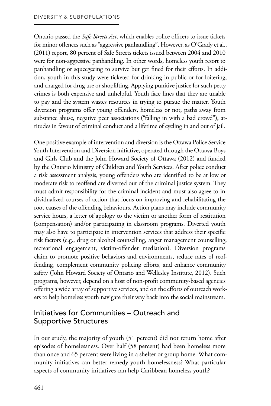Ontario passed the *Safe Streets Act*, which enables police officers to issue tickets for minor offences such as "aggressive panhandling". However, as O'Grady et al., (2011) report, 80 percent of Safe Streets tickets issued between 2004 and 2010 were for non-aggressive panhandling. In other words, homeless youth resort to panhandling or squeegeeing to survive but get fined for their efforts. In addition, youth in this study were ticketed for drinking in public or for loitering, and charged for drug use or shoplifting. Applying punitive justice for such petty crimes is both expensive and unhelpful. Youth face fines that they are unable to pay and the system wastes resources in trying to pursue the matter. Youth diversion programs offer young offenders, homeless or not, paths away from substance abuse, negative peer associations ("falling in with a bad crowd"), attitudes in favour of criminal conduct and a lifetime of cycling in and out of jail.

One positive example of intervention and diversion is the Ottawa Police Service Youth Intervention and Diversion initiative, operated through the Ottawa Boys and Girls Club and the John Howard Society of Ottawa (2012) and funded by the Ontario Ministry of Children and Youth Services. After police conduct a risk assessment analysis, young offenders who are identified to be at low or moderate risk to reoffend are diverted out of the criminal justice system. They must admit responsibility for the criminal incident and must also agree to individualized courses of action that focus on improving and rehabilitating the root causes of the offending behaviours. Action plans may include community service hours, a letter of apology to the victim or another form of restitution (compensation) and/or participating in classroom programs. Diverted youth may also have to participate in intervention services that address their specific risk factors (e.g., drug or alcohol counselling, anger management counselling, recreational engagement, victim-offender mediation). Diversion programs claim to promote positive behaviors and environments, reduce rates of reoffending, complement community policing efforts, and enhance community safety (John Howard Society of Ontario and Wellesley Institute, 2012). Such programs, however, depend on a host of non-profit community-based agencies offering a wide array of supportive services, and on the efforts of outreach workers to help homeless youth navigate their way back into the social mainstream.

# Initiatives for Communities – Outreach and Supportive Structures

In our study, the majority of youth (51 percent) did not return home after episodes of homelessness. Over half (58 percent) had been homeless more than once and 65 percent were living in a shelter or group home. What community initiatives can better remedy youth homelessness? What particular aspects of community initiatives can help Caribbean homeless youth?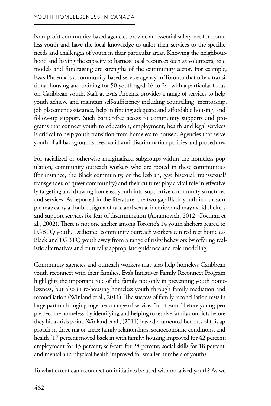Non-profit community-based agencies provide an essential safety net for homeless youth and have the local knowledge to tailor their services to the specific needs and challenges of youth in their particular areas. Knowing the neighbourhood and having the capacity to harness local resources such as volunteers, role models and fundraising are strengths of the community sector. For example, Eva's Phoenix is a community-based service agency in Toronto that offers transitional housing and training for 50 youth aged 16 to 24, with a particular focus on Caribbean youth. Staff at Eva's Phoenix provides a range of services to help youth achieve and maintain self-sufficiency including counselling, mentorship, job placement assistance, help in finding adequate and affordable housing, and follow-up support. Such barrier-free access to community supports and programs that connect youth to education, employment, health and legal services is critical to help youth transition from homeless to housed. Agencies that serve youth of all backgrounds need solid anti-discrimination policies and procedures.

For racialized or otherwise marginalized subgroups within the homeless population, community outreach workers who are rooted in these communities (for instance, the Black community, or the lesbian, gay, bisexual, transsexual/ transgender, or queer community) and their cultures play a vital role in effectively targeting and drawing homeless youth into supportive community structures and services. As reported in the literature, the two gay Black youth in our sample may carry a double stigma of race and sexual identity, and may avoid shelters and support services for fear of discrimination (Abramovich, 2012; Cochran et al., 2002). There is not one shelter among Toronto's 14 youth shelters geared to LGBTQ youth. Dedicated community outreach workers can redirect homeless Black and LGBTQ youth away from a range of risky behaviors by offering realistic alternatives and culturally appropriate guidance and role modeling.

Community agencies and outreach workers may also help homeless Caribbean youth reconnect with their families. Eva's Initiatives Family Reconnect Program highlights the important role of the family not only in preventing youth homelessness, but also in re-housing homeless youth through family mediation and reconciliation (Winland et al., 2011). The success of family reconciliation rests in large part on bringing together a range of services "upstream," before young people become homeless, by identifying and helping to resolve family conflicts before they hit a crisis point. Winland et al., (2011) have documented benefits of this approach in three major areas: family relationships, socioeconomic conditions, and health (17 percent moved back in with family; housing improved for 42 percent; employment for 15 percent; self-care for 28 percent; social skills for 18 percent; and mental and physical health improved for smaller numbers of youth).

To what extent can reconnection initiatives be used with racialized youth? As we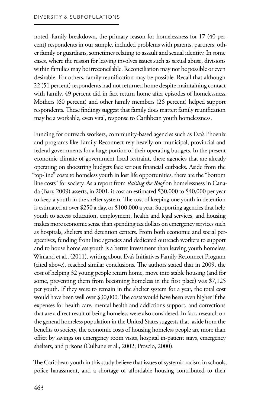noted, family breakdown, the primary reason for homelessness for 17 (40 percent) respondents in our sample, included problems with parents, partners, other family or guardians, sometimes relating to assault and sexual identity. In some cases, where the reason for leaving involves issues such as sexual abuse, divisions within families may be irreconcilable. Reconciliation may not be possible or even desirable. For others, family reunification may be possible. Recall that although 22 (51 percent) respondents had not returned home despite maintaining contact with family, 49 percent did in fact return home after episodes of homelessness. Mothers (60 percent) and other family members (26 percent) helped support respondents. These findings suggest that family does matter: family reunification may be a workable, even vital, response to Caribbean youth homelessness.

Funding for outreach workers, community-based agencies such as Eva's Phoenix and programs like Family Reconnect rely heavily on municipal, provincial and federal governments for a large portion of their operating budgets. In the present economic climate of government fiscal restraint, these agencies that are already operating on shoestring budgets face serious financial cutbacks. Aside from the "top-line" costs to homeless youth in lost life opportunities, there are the "bottom line costs" for society. As a report from *Raising the Roof* on homelessness in Canada (Barr, 2009) asserts, in 2001, it cost an estimated \$30,000 to \$40,000 per year to keep a youth in the shelter system. The cost of keeping one youth in detention is estimated at over \$250 a day, or \$100,000 a year. Supporting agencies that help youth to access education, employment, health and legal services, and housing makes more economic sense than spending tax dollars on emergency services such as hospitals, shelters and detention centers. From both economic and social perspectives, funding front line agencies and dedicated outreach workers to support and to house homeless youth is a better investment than leaving youth homeless. Winland et al., (2011), writing about Eva's Initiatives Family Reconnect Program (cited above), reached similar conclusions. The authors stated that in 2009, the cost of helping 32 young people return home, move into stable housing (and for some, preventing them from becoming homeless in the first place) was \$7,125 per youth. If they were to remain in the shelter system for a year, the total cost would have been well over \$30,000. The costs would have been even higher if the expenses for health care, mental health and addictions support, and corrections that are a direct result of being homeless were also considered. In fact, research on the general homeless population in the United States suggests that, aside from the benefits to society, the economic costs of housing homeless people are more than offset by savings on emergency room visits, hospital in-patient stays, emergency shelters, and prisons (Culhane et al., 2002; Proscio, 2000).

The Caribbean youth in this study believe that issues of systemic racism in schools, police harassment, and a shortage of affordable housing contributed to their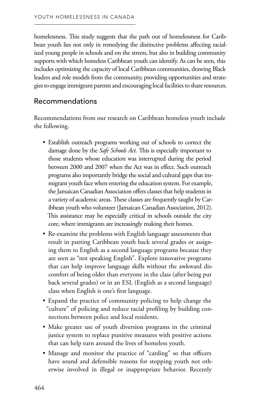homelessness. This study suggests that the path out of homelessness for Caribbean youth lies not only in remedying the distinctive problems affecting racialized young people in schools and on the streets, but also in building community supports with which homeless Caribbean youth can identify. As can be seen, this includes optimizing the capacity of local Caribbean communities, drawing Black leaders and role models from the community, providing opportunities and strategies to engage immigrant parents and encouraging local facilities to share resources.

# Recommendations

Recommendations from our research on Caribbean homeless youth include the following.

- Establish outreach programs working out of schools to correct the damage done by the *Safe Schools Act.* This is especially important to those students whose education was interrupted during the period between 2000 and 2007 when the Act was in effect. Such outreach programs also importantly bridge the social and cultural gaps that immigrant youth face when entering the education system. For example, the Jamaican Canadian Association offers classes that help students in a variety of academic areas. These classes are frequently taught by Caribbean youth who volunteer (Jamaican Canadian Association, 2012). This assistance may be especially critical in schools outside the city core, where immigrants are increasingly making their homes.
- Re-examine the problems with English language assessments that result in putting Caribbean youth back several grades or assigning them to English as a second language programs because they are seen as "not speaking English". Explore innovative programs that can help improve language skills without the awkward discomfort of being older than everyone in the class (after being put back several grades) or in an ESL (English as a second language) class when English is one's first language.
- Expand the practice of community policing to help change the "culture" of policing and reduce racial profiling by building connections between police and local residents.
- Make greater use of youth diversion programs in the criminal justice system to replace punitive measures with positive actions that can help turn around the lives of homeless youth.
- Manage and monitor the practice of "carding" so that officers have sound and defensible reasons for stopping youth not otherwise involved in illegal or inappropriate behavior. Recently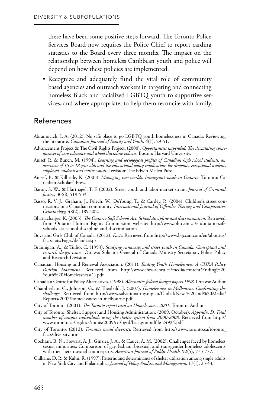there have been some positive steps forward. The Toronto Police Services Board now requires the Police Chief to report carding statistics to the Board every three months. The impact on the relationship between homeless Caribbean youth and police will depend on how these policies are implemented.

• Recognize and adequately fund the vital role of community based agencies and outreach workers in targeting and connecting homeless Black and racialized LGBTQ youth to supportive services, and where appropriate, to help them reconcile with family.

## References

- Abramovich, I. A. (2012). No safe place to go LGBTQ youth homelessness in Canada: Reviewing the literature. *Canadian Journal of Family and Youth,* 4(1), 29-51.
- Advancement Project & The Civil Rights Project. (2000). *Opportunities suspended: The devastating consequences of zero tolerance and school discipline policies.* Boston: Harvard University.
- Anisef, P., & Bunch, M. (1994). *Learning and sociological profiles of Canadian high school students, an overview of 15 to 18 year olds and the educational policy implications for dropouts, exceptional students, employed students and native youth.* Lewiston: The Edwin Mellen Press.
- Anisef, P., & Kilbride, K. (2003). *Managing two worlds: Immigrant youth in Ontario.* Toronto: Canadian Scholars' Press.
- Baron, S. W., & Hartnagel, T. F. (2002). Street youth and labor market strain. *Journal of Criminal Justice,* 30(6), 519-533.
- Basso, R. V. J., Graham, J., Pelech, W., DeYoung, T., & Cardey, R. (2004). Children's street connections in a Canadian community. *International Journal of Offender Therapy and Comparative Criminology,* 48(2), 189-202.
- Bhattacharjee, K. (2003). *The Ontario Safe Schools Act: School discipline and discrimination.* Retrieved from Ontario Human Rights Commission website: http://www.ohrc.on.ca/en/ontario-safeschools-act-school-discipline-and-discrimination
- Boys and Girls Club of Canada. (2012). *Facts.* Retrieved from http://www.bgccan.com/en/aboutus/ factsstats/Pages/default.aspx
- Brannigan, A., & Tullio, C. (1993). *Studying runaways and street youth in Canada: Conceptual and research design issues.* Ottawa: Solicitor General of Canada Ministry Secretariat, Police Policy and Research Division.
- Canadian Housing and Renewal Association. (2011). *Ending Youth Homelessness: A CHRA Policy Position Statement.* Retrieved from http://www.chra-achru.ca/media/content/Ending%20 Youth%20Homelessness(1).pdf
- Canadian Centre for Policy Alternatives. (1998). *Alternative federal budget papers 1998.* Ottawa: Author.
- Chamberlain, C., Johnson, G., & Theobald, J. (2007). *Homelessness in Melbourne: Confronting the challenge.* Retrieved from http://www.salvationarmy.org.au/Global/News%20and%20Media/ Reports/2007/homelessness-in-melbourne.pdf
- City of Toronto. (2001). *The Toronto report card on Homelessness, 2001.* Toronto: Author
- City of Toronto, Shelter, Support and Housing Administration. (2009, October). *Appendix D: Total number of unique individuals using the shelter system from 2000-2008.* Retrieved from http:// www.toronto.ca/legdocs/mmis/2009/cd/bgrd/backgroundfile-24924.pdf
- City of Toronto. (2012). *Toronto's racial diversity.* Retrieved from http://www.toronto.ca/toronto\_ facts/diversity.htm
- Cochran, B. N., Stewart, A. J., Ginzler, J. A., & Cauce, A. M. (2002). Challenges faced by homeless sexual minorities: Comparison of gay, lesbian, bisexual, and transgender homeless adolescents with their heterosexual counterparts. *American Journal of Public Health,* 92(5), 773-777.
- Culhane, D. P., & Kuhn, R. (1997). Patterns and determinants of shelter utilization among single adults in New York City and Philadelphia. *Journal of Policy Analysis and Management,* 17(1), 23-43.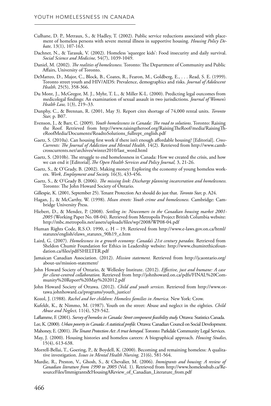- Culhane, D. P., Metraux, S., & Hadley, T. (2002). Public service reductions associated with placement of homeless persons with severe mental illness in supportive housing. *Housing Policy Debate,* 13(1), 107-163.
- Dachner, N., & Tarasuk, V. (2002). Homeless 'squeegee kids': Food insecurity and daily survival. *Social Science and Medicine,* 54(7), 1039-1049.
- Daniel, M. (2002). *The realities of homelessness.* Toronto: The Department of Community and Public Affairs, University of Toronto.
- DeMatteo, D., Major, C., Block, B., Coates, R., Fearon, M., Goldberg, E., . . . Read, S. E. (1999). Toronto street youth and HIV/AIDS: Prevalence, demographics and risks. *Journal of Adolescent Health,* 25(5), 358-366.
- Du Mont, J., McGregor, M. J., Myhr, T. L., & Miller K-L. (2000). Predicting legal outcomes from medicolegal findings: An examination of sexual assault in two jurisdictions. *Journal of Women's Health Law,* 1(3), 219–33.
- Dunphy, C., & Brennan, R. (2001, May 3). Report cites shortage of 74,000 rental units. *Toronto Star,* p. B07.
- Evenson, J., & Barr, C. (2009). *Youth homelessness in Canada: The road to solutions.* Toronto: Raising the Roof. Retrieved from http://www.raisingtheroof.org/RaisingTheRoof/media/RaisingTheRoofMedia/Documents/RoadtoSolutions\_fullrept\_english.pdf
- Gaetz, S. (2010a). Can housing first work if there isn't enough affordable housing? [Editorial]. *Cross-Currents: The Journal of Addiction and Mental Health,* 14(2). Retrieved from http://www.camhcrosscurrents.net/archives/winter2010/last\_word.html
- Gaetz, S. (2010b). The struggle to end homelessness in Canada: How we created the crisis, and how we can end it [Editorial].*The Open Health Services and Policy Journal,* 3, 21-26.
- Gaetz, S., & O'Grady, B. (2002). Making money: Exploring the economy of young homeless workers. *Work, Employment and Society,* 16(3), 433-456.
- Gaetz, S., & O'Grady B. (2006). *The missing link: Discharge planning incarceration and homelessness.*  Toronto: The John Howard Society of Ontario.
- Gillespie, K. (2001, September 25). Tenant Protection Act should do just that. *Toronto Star,* p. A24.
- Hagan, J., & McCarthy, W. (1998). *Mean streets: Youth crime and homelessness.* Cambridge: Cambridge University Press.
- Hiebert, D., & Mendez, P. (2008). *Settling in: Newcomers in the Canadian housing market 2001 2005* (Working Paper No. 08-04). Retrieved from Metropolis Project British Columbia website: http://mbc.metropolis.net/assets/uploads/files/wp/2008/WP08-04.pdf
- Human Rights Code, R.S.O. 1990, c. H 19. Retrieved from http://www.e-laws.gov.on.ca/html/ statutes/english/elaws\_statutes\_90h19\_e.htm
- Laird, G. (2007). *Homelessness in a growth economy: Canada's 21st century paradox.* Retrieved from Sheldon Chumir Foundation for Ethics in Leadership website: http://www.chumirethicsfoundation.ca/files/pdf/SHELTER.pdf
- Jamaican Canadian Association. (2012). *Mission statement.* Retrieved from http://jcaontario.org/ about-us/mission-statement/
- John Howard Society of Ontario, & Wellesley Institute. (2012). *Effective, just and humane: A case for client-centred collaboration.* Retrieved from http://johnhoward.on.ca/pdfs/FINAL%20Community%20Report%20May%202012.pdf
- John Howard Society of Ottawa. (2012). *Child and youth services.* Retrieved from http://www.ottawa.johnhoward.ca/programs/youth\_justice/
- Kozol, J. (1988). *Rachel and her children: Homeless families in America.* New York: Crow.
- Kufeldt, K., & Nimmo, M. (1987). Youth on the street: Abuse and neglect in the eighties. *Child Abuse and Neglect,* 11(4), 529-542.
- Laflamme, F. (2001). *Survey of homeless in Canada: Street component feasibility study.* Ottawa: Statistics Canada.
- Lee, K. (2000). *Urban poverty in Canada: A statistical profile.* Ottawa: Canadian Council on Social Development.
- Mahoney, E. (2001). *The Tenant Protection Act: A trust betrayed.* Toronto: Parkdale Community Legal Services.
- May, J. (2000). Housing histories and homeless careers: A biographical approach. *Housing Studies,*  15(4), 613-638.
- Morrell-Bellai, T., Goering, P., & Boydell, K. (2000). Becoming and remaining homeless: A qualitative investigation. *Issues in Mental Health Nursing,* 21(6), 581-564.
- Murdie, R., Preston, V., Ghosh, S., & Chevalier, M. (2006). *Immigrants and housing: A review of Canadian literature from 1990 to 2005* (Vol. 1). Retrieved from http://www.homelesshub.ca/ResourceFiles/Immigrants&HousingAReview\_of\_Canadian\_Literature\_from.pdf